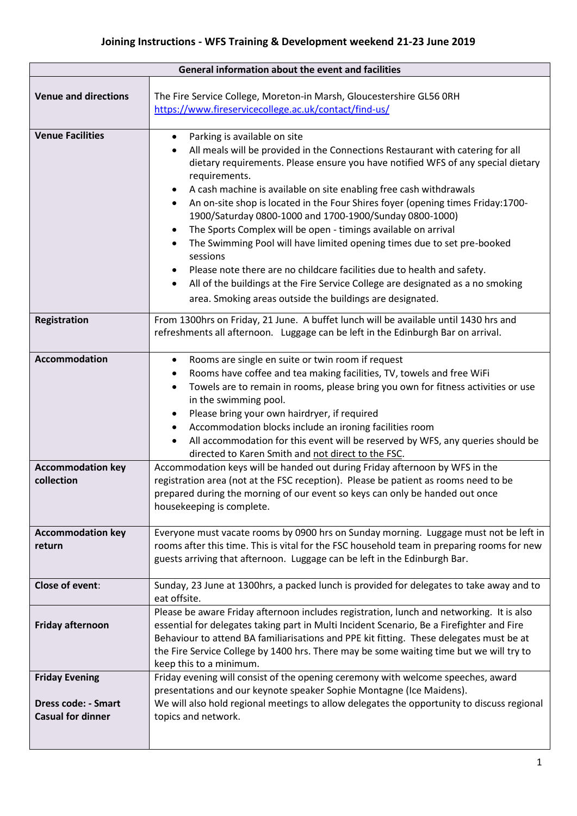| General information about the event and facilities                              |                                                                                                                                                                                                                                                                                                                                                                                                                                                                                                                                                                                                                                                                                                                                                                                                                                          |  |  |
|---------------------------------------------------------------------------------|------------------------------------------------------------------------------------------------------------------------------------------------------------------------------------------------------------------------------------------------------------------------------------------------------------------------------------------------------------------------------------------------------------------------------------------------------------------------------------------------------------------------------------------------------------------------------------------------------------------------------------------------------------------------------------------------------------------------------------------------------------------------------------------------------------------------------------------|--|--|
| <b>Venue and directions</b>                                                     | The Fire Service College, Moreton-in Marsh, Gloucestershire GL56 0RH<br>https://www.fireservicecollege.ac.uk/contact/find-us/                                                                                                                                                                                                                                                                                                                                                                                                                                                                                                                                                                                                                                                                                                            |  |  |
| <b>Venue Facilities</b>                                                         | Parking is available on site<br>$\bullet$<br>All meals will be provided in the Connections Restaurant with catering for all<br>dietary requirements. Please ensure you have notified WFS of any special dietary<br>requirements.<br>A cash machine is available on site enabling free cash withdrawals<br>An on-site shop is located in the Four Shires foyer (opening times Friday:1700-<br>1900/Saturday 0800-1000 and 1700-1900/Sunday 0800-1000)<br>The Sports Complex will be open - timings available on arrival<br>The Swimming Pool will have limited opening times due to set pre-booked<br>sessions<br>Please note there are no childcare facilities due to health and safety.<br>All of the buildings at the Fire Service College are designated as a no smoking<br>area. Smoking areas outside the buildings are designated. |  |  |
| <b>Registration</b>                                                             | From 1300hrs on Friday, 21 June. A buffet lunch will be available until 1430 hrs and<br>refreshments all afternoon. Luggage can be left in the Edinburgh Bar on arrival.                                                                                                                                                                                                                                                                                                                                                                                                                                                                                                                                                                                                                                                                 |  |  |
| <b>Accommodation</b>                                                            | Rooms are single en suite or twin room if request<br>$\bullet$<br>Rooms have coffee and tea making facilities, TV, towels and free WiFi<br>Towels are to remain in rooms, please bring you own for fitness activities or use<br>$\bullet$<br>in the swimming pool.<br>Please bring your own hairdryer, if required<br>Accommodation blocks include an ironing facilities room<br>All accommodation for this event will be reserved by WFS, any queries should be<br>directed to Karen Smith and not direct to the FSC.                                                                                                                                                                                                                                                                                                                   |  |  |
| <b>Accommodation key</b><br>collection                                          | Accommodation keys will be handed out during Friday afternoon by WFS in the<br>registration area (not at the FSC reception). Please be patient as rooms need to be<br>prepared during the morning of our event so keys can only be handed out once<br>housekeeping is complete.                                                                                                                                                                                                                                                                                                                                                                                                                                                                                                                                                          |  |  |
| <b>Accommodation key</b><br>return                                              | Everyone must vacate rooms by 0900 hrs on Sunday morning. Luggage must not be left in<br>rooms after this time. This is vital for the FSC household team in preparing rooms for new<br>guests arriving that afternoon. Luggage can be left in the Edinburgh Bar.                                                                                                                                                                                                                                                                                                                                                                                                                                                                                                                                                                         |  |  |
| <b>Close of event:</b>                                                          | Sunday, 23 June at 1300hrs, a packed lunch is provided for delegates to take away and to<br>eat offsite.                                                                                                                                                                                                                                                                                                                                                                                                                                                                                                                                                                                                                                                                                                                                 |  |  |
| Friday afternoon                                                                | Please be aware Friday afternoon includes registration, lunch and networking. It is also<br>essential for delegates taking part in Multi Incident Scenario, Be a Firefighter and Fire<br>Behaviour to attend BA familiarisations and PPE kit fitting. These delegates must be at<br>the Fire Service College by 1400 hrs. There may be some waiting time but we will try to<br>keep this to a minimum.                                                                                                                                                                                                                                                                                                                                                                                                                                   |  |  |
| <b>Friday Evening</b><br><b>Dress code: - Smart</b><br><b>Casual for dinner</b> | Friday evening will consist of the opening ceremony with welcome speeches, award<br>presentations and our keynote speaker Sophie Montagne (Ice Maidens).<br>We will also hold regional meetings to allow delegates the opportunity to discuss regional<br>topics and network.                                                                                                                                                                                                                                                                                                                                                                                                                                                                                                                                                            |  |  |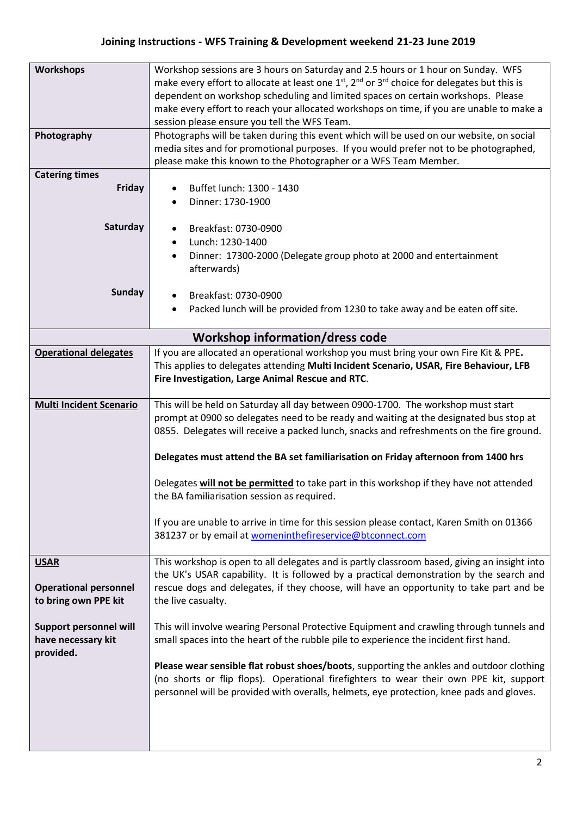## **Joining Instructions - WFS Training & Development weekend 21-23 June 2019**

| <b>Workshops</b>                       | Workshop sessions are 3 hours on Saturday and 2.5 hours or 1 hour on Sunday. WFS                                                 |  |  |
|----------------------------------------|----------------------------------------------------------------------------------------------------------------------------------|--|--|
|                                        | make every effort to allocate at least one 1 <sup>st</sup> , 2 <sup>nd</sup> or 3 <sup>rd</sup> choice for delegates but this is |  |  |
|                                        | dependent on workshop scheduling and limited spaces on certain workshops. Please                                                 |  |  |
|                                        | make every effort to reach your allocated workshops on time, if you are unable to make a                                         |  |  |
|                                        | session please ensure you tell the WFS Team.                                                                                     |  |  |
| Photography                            | Photographs will be taken during this event which will be used on our website, on social                                         |  |  |
|                                        | media sites and for promotional purposes. If you would prefer not to be photographed,                                            |  |  |
|                                        | please make this known to the Photographer or a WFS Team Member.                                                                 |  |  |
| <b>Catering times</b>                  |                                                                                                                                  |  |  |
| Friday                                 | Buffet lunch: 1300 - 1430                                                                                                        |  |  |
|                                        | Dinner: 1730-1900                                                                                                                |  |  |
|                                        |                                                                                                                                  |  |  |
| Saturday                               | Breakfast: 0730-0900                                                                                                             |  |  |
|                                        | Lunch: 1230-1400                                                                                                                 |  |  |
|                                        | Dinner: 17300-2000 (Delegate group photo at 2000 and entertainment                                                               |  |  |
|                                        | afterwards)                                                                                                                      |  |  |
|                                        |                                                                                                                                  |  |  |
| <b>Sunday</b>                          |                                                                                                                                  |  |  |
|                                        | Breakfast: 0730-0900                                                                                                             |  |  |
|                                        | Packed lunch will be provided from 1230 to take away and be eaten off site.                                                      |  |  |
| <b>Workshop information/dress code</b> |                                                                                                                                  |  |  |
|                                        |                                                                                                                                  |  |  |
| <b>Operational delegates</b>           | If you are allocated an operational workshop you must bring your own Fire Kit & PPE.                                             |  |  |
|                                        | This applies to delegates attending Multi Incident Scenario, USAR, Fire Behaviour, LFB                                           |  |  |
|                                        | Fire Investigation, Large Animal Rescue and RTC.                                                                                 |  |  |
|                                        |                                                                                                                                  |  |  |
| <b>Multi Incident Scenario</b>         | This will be held on Saturday all day between 0900-1700. The workshop must start                                                 |  |  |
|                                        | prompt at 0900 so delegates need to be ready and waiting at the designated bus stop at                                           |  |  |
|                                        | 0855. Delegates will receive a packed lunch, snacks and refreshments on the fire ground.                                         |  |  |
|                                        |                                                                                                                                  |  |  |
|                                        | Delegates must attend the BA set familiarisation on Friday afternoon from 1400 hrs                                               |  |  |
|                                        | Delegates will not be permitted to take part in this workshop if they have not attended                                          |  |  |
|                                        | the BA familiarisation session as required.                                                                                      |  |  |
|                                        |                                                                                                                                  |  |  |
|                                        | If you are unable to arrive in time for this session please contact, Karen Smith on 01366                                        |  |  |
|                                        | 381237 or by email at womeninthefireservice@btconnect.com                                                                        |  |  |
|                                        |                                                                                                                                  |  |  |
| <b>USAR</b>                            | This workshop is open to all delegates and is partly classroom based, giving an insight into                                     |  |  |
|                                        |                                                                                                                                  |  |  |
|                                        |                                                                                                                                  |  |  |
|                                        | the UK's USAR capability. It is followed by a practical demonstration by the search and                                          |  |  |
| <b>Operational personnel</b>           | rescue dogs and delegates, if they choose, will have an opportunity to take part and be                                          |  |  |
| to bring own PPE kit                   | the live casualty.                                                                                                               |  |  |
|                                        |                                                                                                                                  |  |  |
| <b>Support personnel will</b>          | This will involve wearing Personal Protective Equipment and crawling through tunnels and                                         |  |  |
| have necessary kit                     | small spaces into the heart of the rubble pile to experience the incident first hand.                                            |  |  |
| provided.                              |                                                                                                                                  |  |  |
|                                        | Please wear sensible flat robust shoes/boots, supporting the ankles and outdoor clothing                                         |  |  |
|                                        | (no shorts or flip flops). Operational firefighters to wear their own PPE kit, support                                           |  |  |
|                                        | personnel will be provided with overalls, helmets, eye protection, knee pads and gloves.                                         |  |  |
|                                        |                                                                                                                                  |  |  |
|                                        |                                                                                                                                  |  |  |
|                                        |                                                                                                                                  |  |  |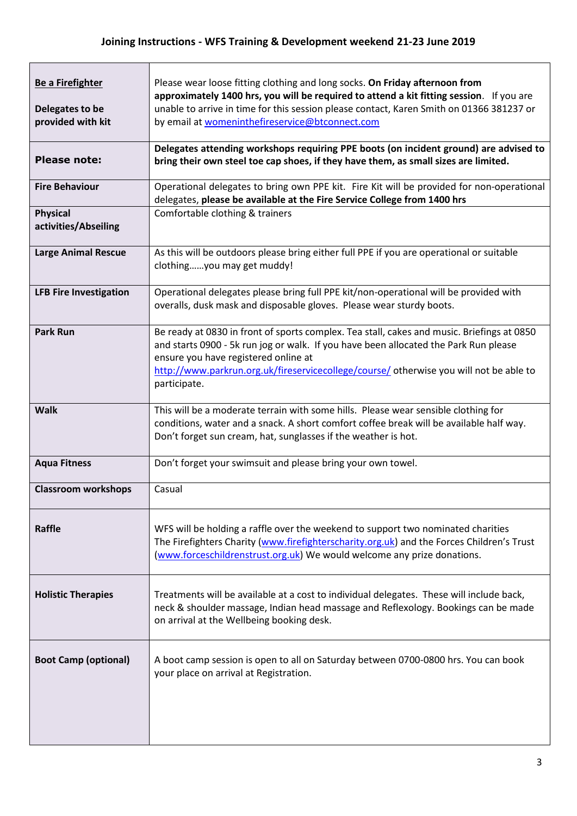| <b>Be a Firefighter</b>                 | Please wear loose fitting clothing and long socks. On Friday afternoon from<br>approximately 1400 hrs, you will be required to attend a kit fitting session. If you are                                                                                  |  |  |
|-----------------------------------------|----------------------------------------------------------------------------------------------------------------------------------------------------------------------------------------------------------------------------------------------------------|--|--|
| Delegates to be                         | unable to arrive in time for this session please contact, Karen Smith on 01366 381237 or                                                                                                                                                                 |  |  |
| provided with kit                       | by email at womeninthefireservice@btconnect.com                                                                                                                                                                                                          |  |  |
|                                         | Delegates attending workshops requiring PPE boots (on incident ground) are advised to                                                                                                                                                                    |  |  |
| <b>Please note:</b>                     | bring their own steel toe cap shoes, if they have them, as small sizes are limited.                                                                                                                                                                      |  |  |
| <b>Fire Behaviour</b>                   | Operational delegates to bring own PPE kit. Fire Kit will be provided for non-operational<br>delegates, please be available at the Fire Service College from 1400 hrs                                                                                    |  |  |
| <b>Physical</b><br>activities/Abseiling | Comfortable clothing & trainers                                                                                                                                                                                                                          |  |  |
| <b>Large Animal Rescue</b>              | As this will be outdoors please bring either full PPE if you are operational or suitable<br>clothingyou may get muddy!                                                                                                                                   |  |  |
| <b>LFB Fire Investigation</b>           | Operational delegates please bring full PPE kit/non-operational will be provided with<br>overalls, dusk mask and disposable gloves. Please wear sturdy boots.                                                                                            |  |  |
| <b>Park Run</b>                         | Be ready at 0830 in front of sports complex. Tea stall, cakes and music. Briefings at 0850<br>and starts 0900 - 5k run jog or walk. If you have been allocated the Park Run please<br>ensure you have registered online at                               |  |  |
|                                         | http://www.parkrun.org.uk/fireservicecollege/course/ otherwise you will not be able to<br>participate.                                                                                                                                                   |  |  |
| <b>Walk</b>                             | This will be a moderate terrain with some hills. Please wear sensible clothing for<br>conditions, water and a snack. A short comfort coffee break will be available half way.<br>Don't forget sun cream, hat, sunglasses if the weather is hot.          |  |  |
| <b>Aqua Fitness</b>                     | Don't forget your swimsuit and please bring your own towel.                                                                                                                                                                                              |  |  |
| <b>Classroom workshops</b>              | Casual                                                                                                                                                                                                                                                   |  |  |
| Raffle                                  | WFS will be holding a raffle over the weekend to support two nominated charities<br>The Firefighters Charity (www.firefighterscharity.org.uk) and the Forces Children's Trust<br>(www.forceschildrenstrust.org.uk) We would welcome any prize donations. |  |  |
| <b>Holistic Therapies</b>               | Treatments will be available at a cost to individual delegates. These will include back,<br>neck & shoulder massage, Indian head massage and Reflexology. Bookings can be made<br>on arrival at the Wellbeing booking desk.                              |  |  |
| <b>Boot Camp (optional)</b>             | A boot camp session is open to all on Saturday between 0700-0800 hrs. You can book<br>your place on arrival at Registration.                                                                                                                             |  |  |
|                                         |                                                                                                                                                                                                                                                          |  |  |